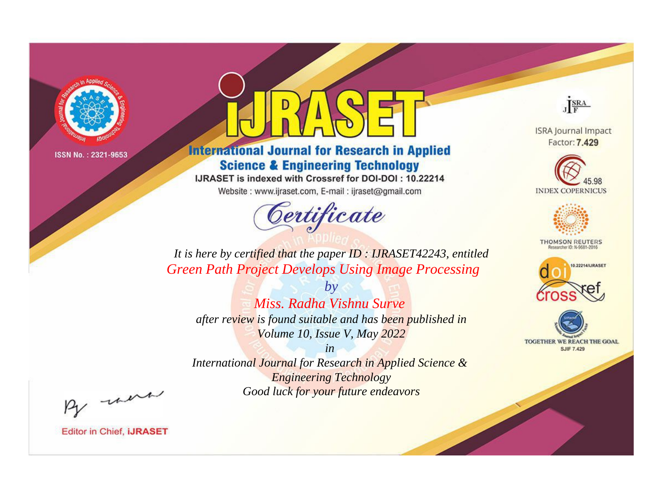

# **International Journal for Research in Applied Science & Engineering Technology**

IJRASET is indexed with Crossref for DOI-DOI: 10.22214

Website: www.ijraset.com, E-mail: ijraset@gmail.com



JERA

**ISRA Journal Impact** Factor: 7.429





**THOMSON REUTERS** 



TOGETHER WE REACH THE GOAL **SJIF 7.429** 

*It is here by certified that the paper ID : IJRASET42243, entitled Green Path Project Develops Using Image Processing*

*by Miss. Radha Vishnu Surve after review is found suitable and has been published in Volume 10, Issue V, May 2022*

*in* 

*International Journal for Research in Applied Science & Engineering Technology Good luck for your future endeavors*

By morn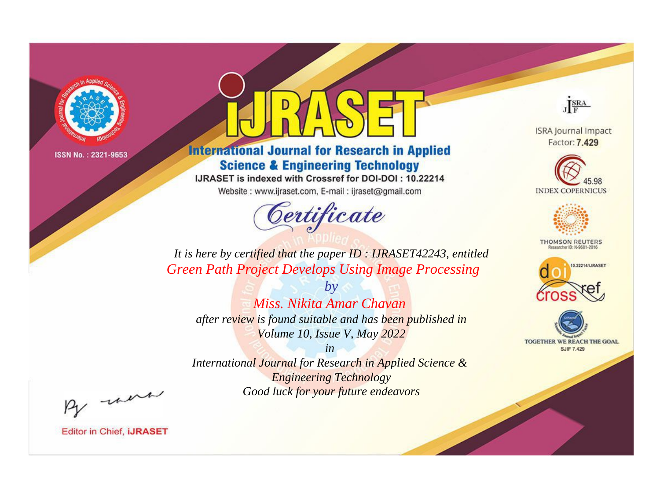

## **International Journal for Research in Applied Science & Engineering Technology**

IJRASET is indexed with Crossref for DOI-DOI: 10.22214

Website: www.ijraset.com, E-mail: ijraset@gmail.com



JERA

**ISRA Journal Impact** Factor: 7.429





**THOMSON REUTERS** 



TOGETHER WE REACH THE GOAL **SJIF 7.429** 

*It is here by certified that the paper ID : IJRASET42243, entitled Green Path Project Develops Using Image Processing*

*by Miss. Nikita Amar Chavan after review is found suitable and has been published in Volume 10, Issue V, May 2022*

*in* 

*International Journal for Research in Applied Science & Engineering Technology Good luck for your future endeavors*

By morn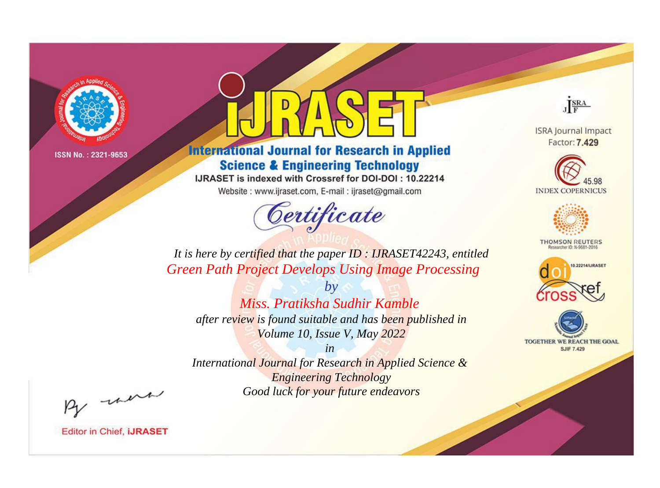

# **International Journal for Research in Applied Science & Engineering Technology**

IJRASET is indexed with Crossref for DOI-DOI: 10.22214

Website: www.ijraset.com, E-mail: ijraset@gmail.com



JERA

**ISRA Journal Impact** Factor: 7.429





**THOMSON REUTERS** 



TOGETHER WE REACH THE GOAL **SJIF 7.429** 

*It is here by certified that the paper ID : IJRASET42243, entitled Green Path Project Develops Using Image Processing*

*by Miss. Pratiksha Sudhir Kamble after review is found suitable and has been published in Volume 10, Issue V, May 2022*

*in* 

*International Journal for Research in Applied Science & Engineering Technology Good luck for your future endeavors*

By morn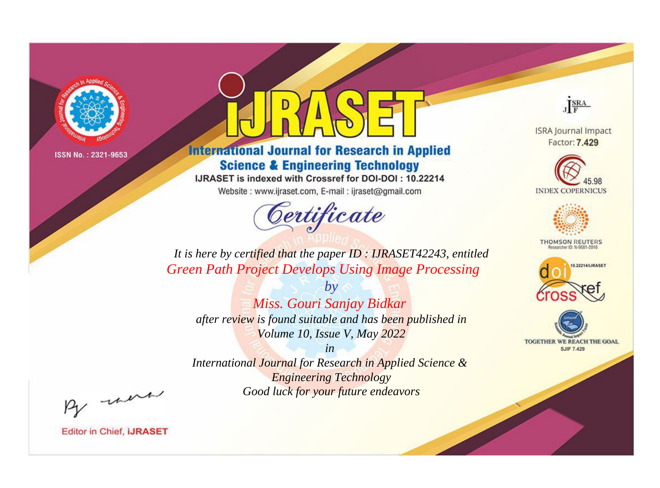

## **International Journal for Research in Applied Science & Engineering Technology**

IJRASET is indexed with Crossref for DOI-DOI: 10.22214

Website: www.ijraset.com, E-mail: ijraset@gmail.com



JERA

**ISRA Journal Impact** Factor: 7.429





**THOMSON REUTERS** 



TOGETHER WE REACH THE GOAL **SJIF 7.429** 

*It is here by certified that the paper ID : IJRASET42243, entitled Green Path Project Develops Using Image Processing*

*by Miss. Gouri Sanjay Bidkar after review is found suitable and has been published in Volume 10, Issue V, May 2022*

*in* 

*International Journal for Research in Applied Science & Engineering Technology Good luck for your future endeavors*

By morn